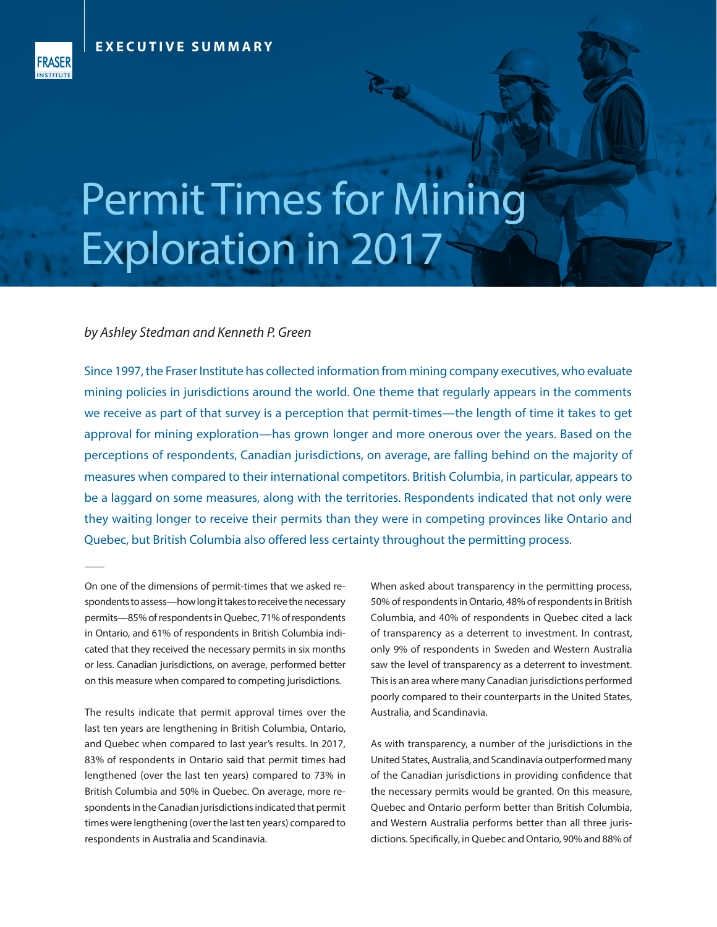

## Permit Times for Mining Exploration in 2017

## *by Ashley Stedman and Kenneth P. Green*

Since 1997, the Fraser Institute has collected information from mining company executives, who evaluate mining policies in jurisdictions around the world. One theme that regularly appears in the comments we receive as part of that survey is a perception that permit-times—the length of time it takes to get approval for mining exploration—has grown longer and more onerous over the years. Based on the perceptions of respondents, Canadian jurisdictions, on average, are falling behind on the majority of measures when compared to their international competitors. British Columbia, in particular, appears to be a laggard on some measures, along with the territories. Respondents indicated that not only were they waiting longer to receive their permits than they were in competing provinces like Ontario and Quebec, but British Columbia also offered less certainty throughout the permitting process.

On one of the dimensions of permit-times that we asked respondents to assess—how long it takes to receive the necessary permits—85% of respondents in Quebec, 71% of respondents in Ontario, and 61% of respondents in British Columbia indicated that they received the necessary permits in six months or less. Canadian jurisdictions, on average, performed better on this measure when compared to competing jurisdictions.

The results indicate that permit approval times over the last ten years are lengthening in British Columbia, Ontario, and Quebec when compared to last year's results. In 2017, 83% of respondents in Ontario said that permit times had lengthened (over the last ten years) compared to 73% in British Columbia and 50% in Quebec. On average, more respondents in the Canadian jurisdictions indicated that permit times were lengthening (over the last ten years) compared to respondents in Australia and Scandinavia.

When asked about transparency in the permitting process, 50% of respondents in Ontario, 48% of respondents in British Columbia, and 40% of respondents in Quebec cited a lack of transparency as a deterrent to investment. In contrast, only 9% of respondents in Sweden and Western Australia saw the level of transparency as a deterrent to investment. This is an area where many Canadian jurisdictions performed poorly compared to their counterparts in the United States, Australia, and Scandinavia.

As with transparency, a number of the jurisdictions in the United States, Australia, and Scandinavia outperformed many of the Canadian jurisdictions in providing confidence that the necessary permits would be granted. On this measure, Quebec and Ontario perform better than British Columbia, and Western Australia performs better than all three jurisdictions. Specifically, in Quebec and Ontario, 90% and 88% of